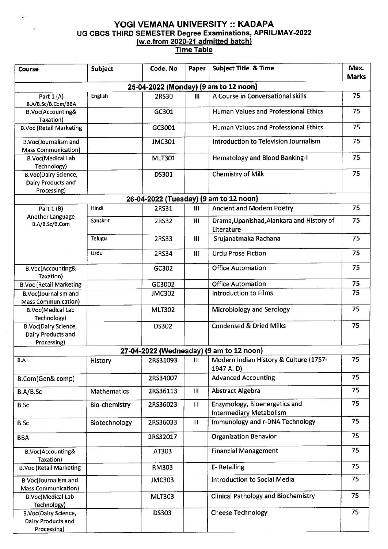## YOGI VEMANA UNIVERSITY :: KADAPA UG CBCS THIRD SEMESTER Degree Examinations, APRIL/MAY-2022 (w.e.from 2020-21 admitted batch) Time Table

| Course                                                           | Subject       | Code. No      | Paper | <b>Subject Title &amp; Time</b>                                 | Max.<br><b>Marks</b> |
|------------------------------------------------------------------|---------------|---------------|-------|-----------------------------------------------------------------|----------------------|
|                                                                  |               |               |       | 25-04-2022 (Monday) (9 am to 12 noon)                           |                      |
| Part 1 (A)<br>B.A/B.Sc/B.Com/BBA                                 | English       | 2RS30         | Ш     | A Course in Conversational skills                               | 75                   |
| B.Voc(Accounting&<br>Taxation)                                   |               | GC301         |       | Human Values and Professional Ethics                            | 75                   |
| <b>B.Voc (Retail Marketing</b>                                   |               | GC3001        |       | <b>Human Values and Professional Ethics</b>                     | 75                   |
| B.Voc(Journalism and<br><b>Mass Communication</b> )              |               | <b>JMC301</b> |       | Introduction to Television Journalism                           | 75                   |
| <b>B.Voc(Medical Lab</b><br>Technology)                          |               | <b>MLT301</b> |       | Hematology and Blood Banking-I                                  | 75                   |
| <b>B.Voc(Dairy Science,</b><br>Dairy Products and<br>Processing) |               | DS301         |       | <b>Chemistry of Milk</b>                                        | 75                   |
|                                                                  |               |               |       | 26-04-2022 (Tuesday) (9 am to 12 noon)                          |                      |
| Part 1 (B)                                                       | Hindi         | 2RS31         | Ш     | Ancient and Modern Poetry                                       | 75                   |
| Another Language<br>B.A/B.Sc/B.Com                               | Sanskrit      | 2RS32         | Ш     | Drama, Upanishad, Alankara and History of<br>Literature         | 75                   |
|                                                                  | Telugu        | 2RS33         | Ш     | Srujanatmaka Rachana                                            | 75                   |
|                                                                  | Urdu          | 2RS34         | Ш     | <b>Urdu Prose Fiction</b>                                       | 75                   |
| <b>B.Voc(Accounting&amp;</b><br>Taxation)                        |               | GC302         |       | <b>Office Automation</b>                                        | 75                   |
| <b>B.Voc (Retail Marketing</b>                                   |               | GC3002        |       | <b>Office Automation</b>                                        | 75                   |
| B.Voc(Journalism and<br><b>Mass Communication)</b>               |               | <b>JMC302</b> |       | <b>Introduction to Films</b>                                    | 75                   |
| <b>B.Voc(Medical Lab</b><br>Technology)                          |               | <b>MLT302</b> |       | Microbiology and Serology                                       | 75                   |
| <b>B.Voc(Dairy Science,</b><br>Dairy Products and<br>Processing) |               | DS302         |       | <b>Condensed &amp; Dried Milks</b>                              | 75                   |
|                                                                  |               |               |       | 27-04-2022 (Wednesday) (9 am to 12 noon)                        |                      |
| B.A                                                              | History       | 2RS31093      | Ш     | Modern Indian History & Culture (1757-<br>1947 A.D)             | 75                   |
| B.Com(Gen& comp)                                                 |               | 2RS34007      |       | <b>Advanced Accounting</b>                                      | 75                   |
| B.A/B.Sc                                                         | Mathematics   | 2RS36113      | Ш     | <b>Abstract Algebra</b>                                         | 75                   |
| <b>B.Sc</b>                                                      | Bio-chemistry | 2RS36023      | Ш     | Enzymology, Bioenergetics and<br><b>Intermediary Metabolism</b> | 75                   |
| <b>B.Sc</b>                                                      | Biotechnology | 2RS36033      | Ш     | Immunology and r-DNA Technology                                 | 75                   |
| <b>BBA</b>                                                       |               | 2RS32017      |       | <b>Organization Behavior</b>                                    | 75                   |
| B.Voc(Accounting&<br>Taxation)                                   |               | AT303         |       | <b>Financial Management</b>                                     | 75                   |
| <b>B.Voc (Retail Marketing</b>                                   |               | <b>RM303</b>  |       | <b>E-Retailing</b>                                              | 75                   |
| B.Voc(Journalism and<br><b>Mass Communication)</b>               |               | <b>JMC303</b> |       | Introduction to Social Media                                    | 75                   |
| <b>B.Voc(Medical Lab</b><br>Technology)                          |               | <b>MLT303</b> |       | <b>Clinical Pathology and Biochemistry</b>                      | 75                   |
| <b>B.Voc(Dairy Science,</b><br>Dairy Products and<br>Processing) |               | <b>DS303</b>  |       | <b>Cheese Technology</b>                                        | 75                   |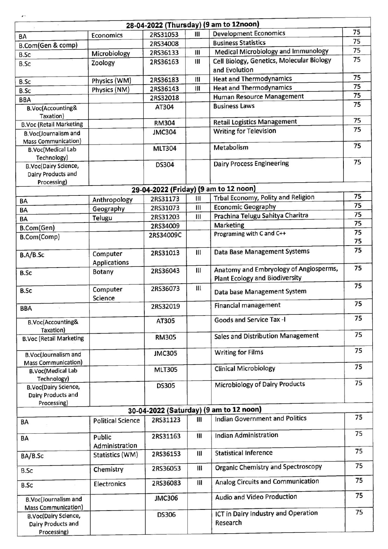|                                                                  |                                 |               |                | 28-04-2022 (Thursday) (9 am to 12noon)                                          |          |
|------------------------------------------------------------------|---------------------------------|---------------|----------------|---------------------------------------------------------------------------------|----------|
| BA                                                               | Economics                       | 2RS31053      | Ш              | <b>Development Economics</b>                                                    | 75       |
| B.Com(Gen & comp)                                                |                                 | 2RS34008      |                | <b>Business Statistics</b>                                                      | 75       |
| <b>B.Sc</b>                                                      | Microbiology                    | 2RS36133      | Ш              | Medical Microbiology and Immunology                                             | 75       |
| B.Sc                                                             | Zoology                         | 2RS36163      | Ш              | Cell Biology, Genetics, Molecular Biology<br>and Evolution                      | 75       |
| B.Sc                                                             | Physics (WM)                    | 2RS36183      | Ш              | <b>Heat and Thermodynamics</b>                                                  | 75       |
| <b>B.Sc</b>                                                      | Physics (NM)                    | 2RS36143      | Ш              | <b>Heat and Thermodynamics</b>                                                  | 75       |
| <b>BBA</b>                                                       |                                 | 2RS32018      |                | Human Resource Management                                                       | 75       |
| B.Voc(Accounting&<br>Taxation)                                   |                                 | AT304         |                | <b>Business Laws</b>                                                            | 75       |
| <b>B.Voc (Retail Marketing</b>                                   |                                 | <b>RM304</b>  |                | <b>Retail Logistics Management</b>                                              | 75       |
| B.Voc(Journalism and<br><b>Mass Communication)</b>               |                                 | <b>JMC304</b> |                | <b>Writing for Television</b>                                                   | 75       |
| <b>B.Voc(Medical Lab</b><br>Technology)                          |                                 | <b>MLT304</b> |                | Metabolism                                                                      | 75       |
| <b>B.Voc(Dairy Science,</b><br>Dairy Products and<br>Processing) |                                 | DS304         |                | <b>Dairy Process Engineering</b>                                                | 75       |
|                                                                  |                                 |               |                | 29-04-2022 (Friday) (9 am to 12 noon)                                           |          |
| BA                                                               | Anthropology                    | 2RS31173      | Ш              | Trbal Economy, Polity and Religion                                              | 75       |
| BA                                                               | Geography                       | 2RS31073      | Ш              | <b>Economic Geography</b>                                                       | 75       |
| BA                                                               | Telugu                          | 2RS31203      | Ш              | Prachina Telugu Sahitya Charitra                                                | 75       |
| B.Com(Gen)                                                       |                                 | 2RS34009      |                | Marketing                                                                       | 75       |
| B.Com(Comp)                                                      |                                 | 2RS34009C     |                | Programing with C and C++                                                       | 75<br>75 |
| B.A/B.Sc                                                         | Computer<br><b>Applications</b> | 2RS31013      | Ш              | Data Base Management Systems                                                    | 75       |
| <b>B.Sc</b>                                                      | <b>Botany</b>                   | 2RS36043      | Ш              | Anatomy and Embryology of Angiosperms,<br><b>Plant Ecology and Biodiversity</b> | 75       |
| <b>B.Sc</b>                                                      | Computer<br>Science             | 2RS36073      | Ш              | Data base Management System                                                     | 75       |
| <b>BBA</b>                                                       |                                 | 2RS32019      |                | <b>Financial management</b>                                                     | 75       |
| B.Voc(Accounting&<br>Taxation)                                   |                                 | AT305         |                | Goods and Service Tax -I                                                        | 75       |
| <b>B.Voc (Retail Marketing</b>                                   |                                 | <b>RM305</b>  |                | <b>Sales and Distribution Management</b>                                        | 75       |
| B.Voc(Journalism and<br><b>Mass Communication)</b>               |                                 | <b>JMC305</b> |                | <b>Writing for Films</b>                                                        | 75       |
| <b>B.Voc(Medical Lab</b><br>Technology)                          |                                 | <b>MLT305</b> |                | <b>Clinical Microbiology</b>                                                    | 75       |
| <b>B.Voc(Dairy Science,</b><br>Dairy Products and<br>Processing) |                                 | <b>DS305</b>  |                | <b>Microbiology of Dairy Products</b>                                           | 75       |
|                                                                  |                                 |               |                | 30-04-2022 (Saturday) (9 am to 12 noon)                                         |          |
| BA                                                               | <b>Political Science</b>        | 2RS31123      | Ш              | <b>Indian Government and Politics</b>                                           | 75       |
| BA                                                               | Public<br>Administration        | 2RS31163      | $\mathbf{III}$ | <b>Indian Administration</b>                                                    | 75       |
| BA/B.Sc                                                          | Statistics (WM)                 | 2RS36153      | Ш              | <b>Statistical Inference</b>                                                    | 75       |
| <b>B.Sc</b>                                                      | Chemistry                       | 2RS36053      | Ш              | <b>Organic Chemistry and Spectroscopy</b>                                       | 75       |
| <b>B.Sc</b>                                                      | <b>Electronics</b>              | 2RS36083      | Ш              | Analog Circuits and Communication                                               | 75       |
| <b>B.Voc(Journalism and</b><br><b>Mass Communication)</b>        |                                 | <b>JMC306</b> |                | Audio and Video Production                                                      | 75       |
| <b>B.Voc(Dairy Science,</b><br>Dairy Products and<br>Processing) |                                 | <b>DS306</b>  |                | ICT in Dairy Industry and Operation<br>Research                                 | 75       |